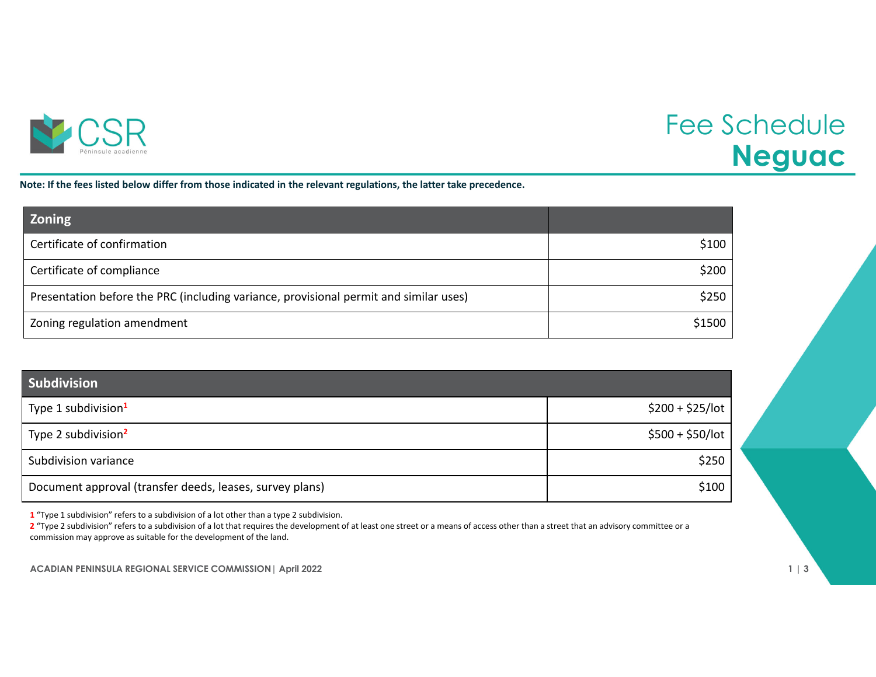

## Fee Schedule **Neguac**

Note: If the fees listed below differ from those indicated in the relevant regulations, the latter take precedence.

| <b>Zoning</b>                                                                         |        |
|---------------------------------------------------------------------------------------|--------|
| Certificate of confirmation                                                           | \$100  |
| Certificate of compliance                                                             | \$200  |
| Presentation before the PRC (including variance, provisional permit and similar uses) | \$250  |
| Zoning regulation amendment                                                           | \$1500 |

| Subdivision                                              |                   |
|----------------------------------------------------------|-------------------|
| Type 1 subdivision <sup>1</sup>                          | $$200 + $25/$ lot |
| Type 2 subdivision <sup>2</sup>                          | $$500 + $50/$ lot |
| Subdivision variance                                     | \$250             |
| Document approval (transfer deeds, leases, survey plans) | \$100             |

**1** "Type 1 subdivision" refers to <sup>a</sup> subdivision of <sup>a</sup> lot other than <sup>a</sup> type 2 subdivision.

**2** "Type 2 subdivision" refers to <sup>a</sup> subdivision of <sup>a</sup> lot that requires the development of at least one street or <sup>a</sup> means of access other than <sup>a</sup> street that an advisory committee or <sup>a</sup> commission may approve as suitable for the development of the land.

**ACADIAN PENINSULA REGIONAL SERVICE COMMISSION| April 2022 1 | 3**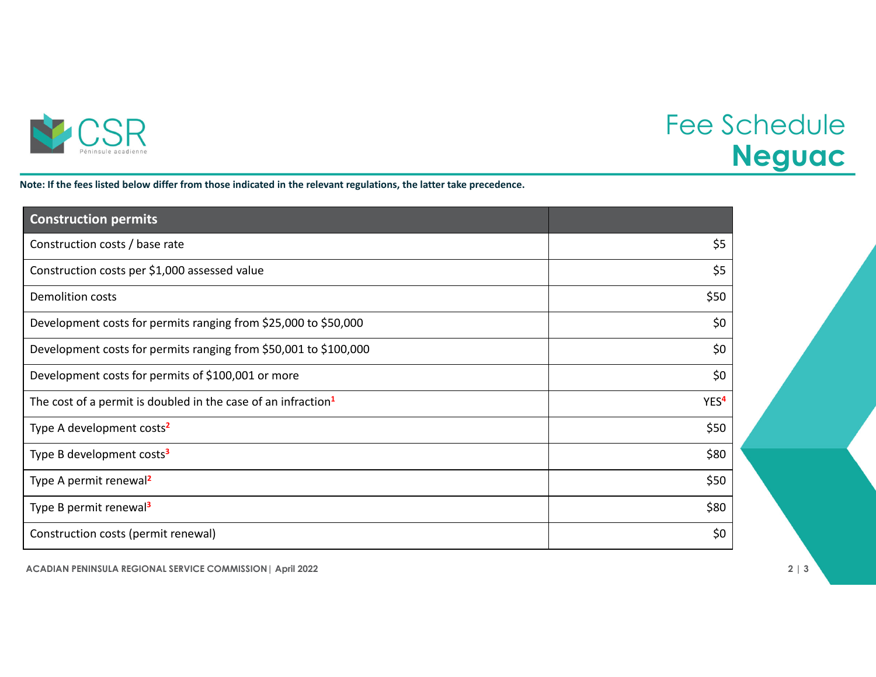

## Fee Schedule **Neguac**

Note: If the fees listed below differ from those indicated in the relevant regulations, the latter take precedence.

| <b>Construction permits</b>                                               |                  |
|---------------------------------------------------------------------------|------------------|
| Construction costs / base rate                                            | \$5              |
| Construction costs per \$1,000 assessed value                             | \$5              |
| <b>Demolition costs</b>                                                   | \$50             |
| Development costs for permits ranging from \$25,000 to \$50,000           | \$0              |
| Development costs for permits ranging from \$50,001 to \$100,000          | \$0              |
| Development costs for permits of \$100,001 or more                        | \$0              |
| The cost of a permit is doubled in the case of an infraction <sup>1</sup> | YES <sup>4</sup> |
| Type A development costs <sup>2</sup>                                     | \$50             |
| Type B development costs <sup>3</sup>                                     | \$80             |
| Type A permit renewal <sup>2</sup>                                        | \$50             |
| Type B permit renewal <sup>3</sup>                                        | \$80             |
| Construction costs (permit renewal)                                       | \$0              |

**ACADIAN PENINSULA REGIONAL SERVICE COMMISSION| April 2022 2 | 3**